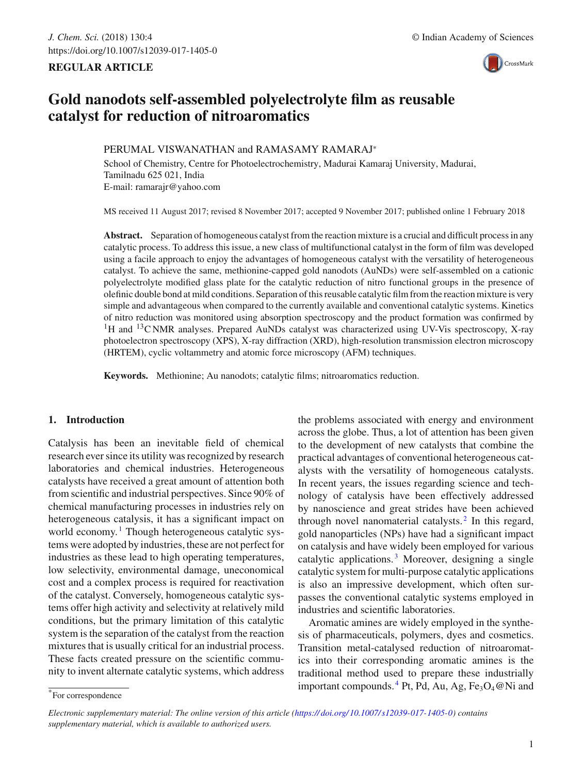# **REGULAR ARTICLE**



# **Gold nanodots self-assembled polyelectrolyte film as reusable catalyst for reduction of nitroaromatics**

# PERUMAL VISWANATHAN and RAMASAMY RAMARAJ<sup>∗</sup>

School of Chemistry, Centre for Photoelectrochemistry, Madurai Kamaraj University, Madurai, Tamilnadu 625 021, India E-mail: ramarajr@yahoo.com

MS received 11 August 2017; revised 8 November 2017; accepted 9 November 2017; published online 1 February 2018

**Abstract.** Separation of homogeneous catalyst from the reaction mixture is a crucial and difficult process in any catalytic process. To address this issue, a new class of multifunctional catalyst in the form of film was developed using a facile approach to enjoy the advantages of homogeneous catalyst with the versatility of heterogeneous catalyst. To achieve the same, methionine-capped gold nanodots (AuNDs) were self-assembled on a cationic polyelectrolyte modified glass plate for the catalytic reduction of nitro functional groups in the presence of olefinic double bond at mild conditions. Separation of this reusable catalytic film from the reaction mixture is very simple and advantageous when compared to the currently available and conventional catalytic systems. Kinetics of nitro reduction was monitored using absorption spectroscopy and the product formation was confirmed by <sup>1</sup>H and <sup>13</sup>C NMR analyses. Prepared AuNDs catalyst was characterized using UV-Vis spectroscopy, X-ray photoelectron spectroscopy (XPS), X-ray diffraction (XRD), high-resolution transmission electron microscopy (HRTEM), cyclic voltammetry and atomic force microscopy (AFM) techniques.

**Keywords.** Methionine; Au nanodots; catalytic films; nitroaromatics reduction.

# **1. Introduction**

Catalysis has been an inevitable field of chemical research ever since its utility was recognized by research laboratories and chemical industries. Heterogeneous catalysts have received a great amount of attention both from scientific and industrial perspectives. Since 90% of chemical manufacturing processes in industries rely on heterogeneous catalysis, it has a significant impact on world economy.<sup>1</sup> Though heterogeneous catalytic systems were adopted by industries, these are not perfect for industries as these lead to high operating temperatures, low selectivity, environmental damage, uneconomical cost and a complex process is required for reactivation of the catalyst. Conversely, homogeneous catalytic systems offer high activity and selectivity at relatively mild conditions, but the primary limitation of this catalytic system is the separation of the catalyst from the reaction mixtures that is usually critical for an industrial process. These facts created pressure on the scientific community to invent alternate catalytic systems, which address the problems associated with energy and environment across the globe. Thus, a lot of attention has been given to the development of new catalysts that combine the practical advantages of conventional heterogeneous catalysts with the versatility of homogeneous catalysts. In recent years, the issues regarding science and technology of catalysis have been effectively addressed by nanoscience and great strides have been achieved through novel nanomaterial catalysts. $<sup>2</sup>$  In this regard,</sup> gold nanoparticles (NPs) have had a significant impact on catalysis and have widely been employed for various catalytic applications.<sup>3</sup> Moreover, designing a single catalytic system for multi-purpose catalytic applications is also an impressive development, which often surpasses the conventional catalytic systems employed in industries and scientific laboratories.

Aromatic amines are widely employed in the synthesis of pharmaceuticals, polymers, dyes and cosmetics. Transition metal-catalysed reduction of nitroaromatics into their corresponding aromatic amines is the traditional method used to prepare these industrially important compounds.  ${}^{4}$  Pt, Pd, Au, Ag, Fe<sub>3</sub>O<sub>4</sub> @Ni and

<sup>\*</sup>For correspondence

*Electronic supplementary material: The online version of this article (https:// doi.org/ 10.1007/ s12039-017-1405-0) contains supplementary material, which is available to authorized users.*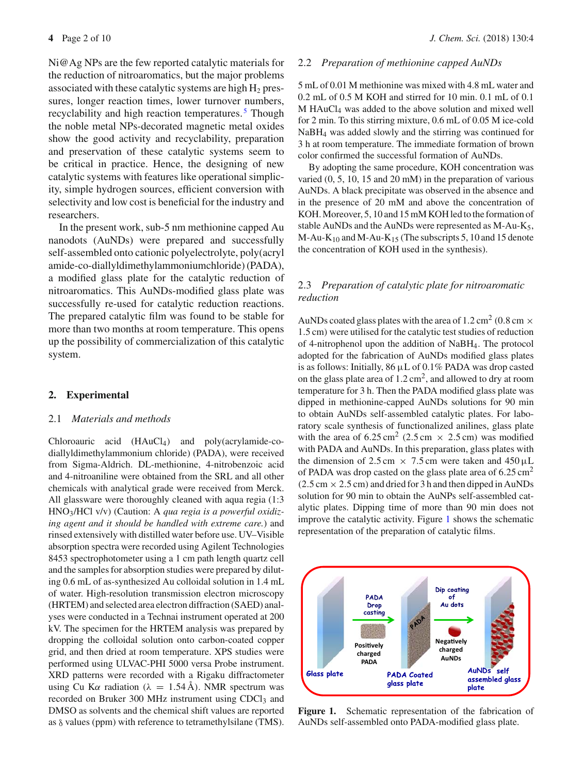Ni@Ag NPs are the few reported catalytic materials for the reduction of nitroaromatics, but the major problems associated with these catalytic systems are high  $H_2$  pressures, longer reaction times, lower turnover numbers, recyclability and high reaction temperatures.<sup>5</sup> Though the noble metal NPs-decorated magnetic metal oxides show the good activity and recyclability, preparation and preservation of these catalytic systems seem to be critical in practice. Hence, the designing of new catalytic systems with features like operational simplicity, simple hydrogen sources, efficient conversion with selectivity and low cost is beneficial for the industry and researchers.

In the present work, sub-5 nm methionine capped Au nanodots (AuNDs) were prepared and successfully self-assembled onto cationic polyelectrolyte, poly(acryl amide-co-diallyldimethylammoniumchloride) (PADA), a modified glass plate for the catalytic reduction of nitroaromatics. This AuNDs-modified glass plate was successfully re-used for catalytic reduction reactions. The prepared catalytic film was found to be stable for more than two months at room temperature. This opens up the possibility of commercialization of this catalytic system.

# **2. Experimental**

### 2.1 *Materials and methods*

Chloroauric acid (HAuCl4) and poly(acrylamide-codiallyldimethylammonium chloride) (PADA), were received from Sigma-Aldrich. DL-methionine, 4-nitrobenzoic acid and 4-nitroaniline were obtained from the SRL and all other chemicals with analytical grade were received from Merck. All glassware were thoroughly cleaned with aqua regia (1:3 HNO3/HCl v/v) (Caution: A *qua regia is a powerful oxidizing agent and it should be handled with extreme care.*) and rinsed extensively with distilled water before use. UV–Visible absorption spectra were recorded using Agilent Technologies 8453 spectrophotometer using a 1 cm path length quartz cell and the samples for absorption studies were prepared by diluting 0.6 mL of as-synthesized Au colloidal solution in 1.4 mL of water. High-resolution transmission electron microscopy (HRTEM) and selected area electron diffraction (SAED) analyses were conducted in a Technai instrument operated at 200 kV. The specimen for the HRTEM analysis was prepared by dropping the colloidal solution onto carbon-coated copper grid, and then dried at room temperature. XPS studies were performed using ULVAC-PHI 5000 versa Probe instrument. XRD patterns were recorded with a Rigaku diffractometer using Cu K $\alpha$  radiation ( $\lambda = 1.54$  Å). NMR spectrum was recorded on Bruker 300 MHz instrument using CDCl<sub>3</sub> and DMSO as solvents and the chemical shift values are reported as  $\delta$  values (ppm) with reference to tetramethylsilane (TMS).

#### 2.2 *Preparation of methionine capped AuNDs*

5 mL of 0.01 M methionine was mixed with 4.8 mL water and 0.2 mL of 0.5 M KOH and stirred for 10 min. 0.1 mL of 0.1 M HAuCl4 was added to the above solution and mixed well for 2 min. To this stirring mixture, 0.6 mL of 0.05 M ice-cold NaBH4 was added slowly and the stirring was continued for 3 h at room temperature. The immediate formation of brown color confirmed the successful formation of AuNDs.

By adopting the same procedure, KOH concentration was varied (0, 5, 10, 15 and 20 mM) in the preparation of various AuNDs. A black precipitate was observed in the absence and in the presence of 20 mM and above the concentration of KOH. Moreover, 5, 10 and 15 mM KOH led to the formation of stable AuNDs and the AuNDs were represented as M-Au-K5,  $M-Au-K_{10}$  and  $M-Au-K_{15}$  (The subscripts 5, 10 and 15 denote the concentration of KOH used in the synthesis).

# 2.3 *Preparation of catalytic plate for nitroaromatic reduction*

AuNDs coated glass plates with the area of 1.2 cm<sup>2</sup> (0.8 cm  $\times$ 1.5 cm) were utilised for the catalytic test studies of reduction of 4-nitrophenol upon the addition of NaBH4. The protocol adopted for the fabrication of AuNDs modified glass plates is as follows: Initially, 86 μL of 0.1% PADA was drop casted on the glass plate area of  $1.2 \text{ cm}^2$ , and allowed to dry at room temperature for 3 h. Then the PADA modified glass plate was dipped in methionine-capped AuNDs solutions for 90 min to obtain AuNDs self-assembled catalytic plates. For laboratory scale synthesis of functionalized anilines, glass plate with the area of  $6.25 \text{ cm}^2$  (2.5 cm  $\times$  2.5 cm) was modified with PADA and AuNDs. In this preparation, glass plates with the dimension of 2.5 cm  $\times$  7.5 cm were taken and 450 µL of PADA was drop casted on the glass plate area of  $6.25 \text{ cm}^2$  $(2.5 \text{ cm} \times 2.5 \text{ cm})$  and dried for 3 h and then dipped in AuNDs solution for 90 min to obtain the AuNPs self-assembled catalytic plates. Dipping time of more than 90 min does not improve the catalytic activity. Figure 1 shows the schematic representation of the preparation of catalytic films.



**Figure 1.** Schematic representation of the fabrication of AuNDs self-assembled onto PADA-modified glass plate.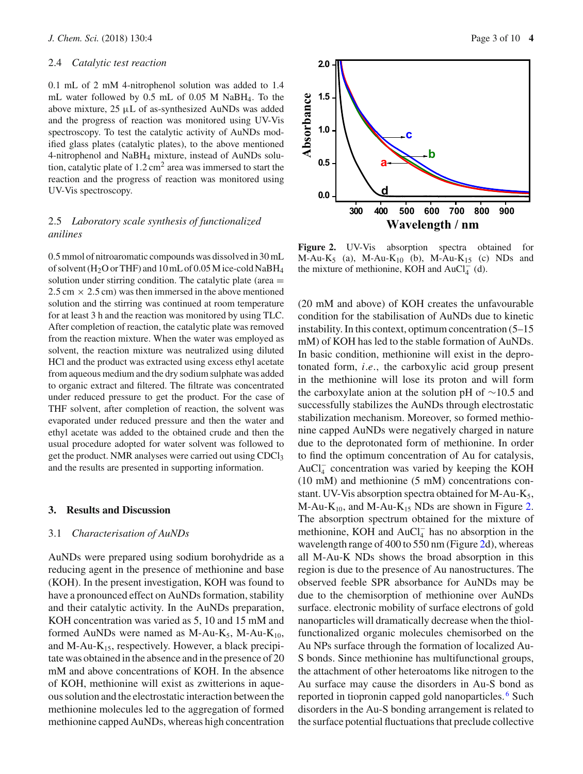#### 2.4 *Catalytic test reaction*

0.1 mL of 2 mM 4-nitrophenol solution was added to 1.4 mL water followed by 0.5 mL of 0.05 M NaBH4. To the above mixture, 25 μL of as-synthesized AuNDs was added and the progress of reaction was monitored using UV-Vis spectroscopy. To test the catalytic activity of AuNDs modified glass plates (catalytic plates), to the above mentioned 4-nitrophenol and NaBH4 mixture, instead of AuNDs solution, catalytic plate of  $1.2 \text{ cm}^2$  area was immersed to start the reaction and the progress of reaction was monitored using UV-Vis spectroscopy.

# 2.5 *Laboratory scale synthesis of functionalized anilines*

0.5 mmol of nitroaromatic compounds was dissolved in 30 mL of solvent (H2O or THF) and 10 mL of 0.05 M ice-cold NaBH4 solution under stirring condition. The catalytic plate (area  $=$  $2.5 \text{ cm} \times 2.5 \text{ cm}$  was then immersed in the above mentioned solution and the stirring was continued at room temperature for at least 3 h and the reaction was monitored by using TLC. After completion of reaction, the catalytic plate was removed from the reaction mixture. When the water was employed as solvent, the reaction mixture was neutralized using diluted HCl and the product was extracted using excess ethyl acetate from aqueous medium and the dry sodium sulphate was added to organic extract and filtered. The filtrate was concentrated under reduced pressure to get the product. For the case of THF solvent, after completion of reaction, the solvent was evaporated under reduced pressure and then the water and ethyl acetate was added to the obtained crude and then the usual procedure adopted for water solvent was followed to get the product. NMR analyses were carried out using CDCl3 and the results are presented in supporting information.

#### **3. Results and Discussion**

#### 3.1 *Characterisation of AuNDs*

AuNDs were prepared using sodium borohydride as a reducing agent in the presence of methionine and base (KOH). In the present investigation, KOH was found to have a pronounced effect on AuNDs formation, stability and their catalytic activity. In the AuNDs preparation, KOH concentration was varied as 5, 10 and 15 mM and formed AuNDs were named as M-Au- $K_5$ , M-Au- $K_{10}$ , and M-Au- $K_{15}$ , respectively. However, a black precipitate was obtained in the absence and in the presence of 20 mM and above concentrations of KOH. In the absence of KOH, methionine will exist as zwitterions in aqueous solution and the electrostatic interaction between the methionine molecules led to the aggregation of formed methionine capped AuNDs, whereas high concentration



**Figure 2.** UV-Vis absorption spectra obtained for  $M-Au-K<sub>5</sub>$  (a),  $M-Au-K<sub>10</sub>$  (b),  $M-Au-K<sub>15</sub>$  (c) NDs and the mixture of methionine, KOH and  $AuCl_4^-$  (d).

(20 mM and above) of KOH creates the unfavourable condition for the stabilisation of AuNDs due to kinetic instability. In this context, optimum concentration (5–15 mM) of KOH has led to the stable formation of AuNDs. In basic condition, methionine will exist in the deprotonated form, *i*.*e*., the carboxylic acid group present in the methionine will lose its proton and will form the carboxylate anion at the solution pH of ∼10.5 and successfully stabilizes the AuNDs through electrostatic stabilization mechanism. Moreover, so formed methionine capped AuNDs were negatively charged in nature due to the deprotonated form of methionine. In order to find the optimum concentration of Au for catalysis, AuCl<sup>−</sup> <sup>4</sup> concentration was varied by keeping the KOH (10 mM) and methionine (5 mM) concentrations constant. UV-Vis absorption spectra obtained for M-Au-K<sub>5</sub>, M-Au-K<sub>10</sub>, and M-Au-K<sub>15</sub> NDs are shown in Figure 2. The absorption spectrum obtained for the mixture of methionine, KOH and  $AuCl_4^-$  has no absorption in the wavelength range of 400 to 550 nm (Figure 2d), whereas all M-Au-K NDs shows the broad absorption in this region is due to the presence of Au nanostructures. The observed feeble SPR absorbance for AuNDs may be due to the chemisorption of methionine over AuNDs surface. electronic mobility of surface electrons of gold nanoparticles will dramatically decrease when the thiolfunctionalized organic molecules chemisorbed on the Au NPs surface through the formation of localized Au-S bonds. Since methionine has multifunctional groups, the attachment of other heteroatoms like nitrogen to the Au surface may cause the disorders in Au-S bond as reported in tiopronin capped gold nanoparticles. <sup>6</sup> Such disorders in the Au-S bonding arrangement is related to the surface potential fluctuations that preclude collective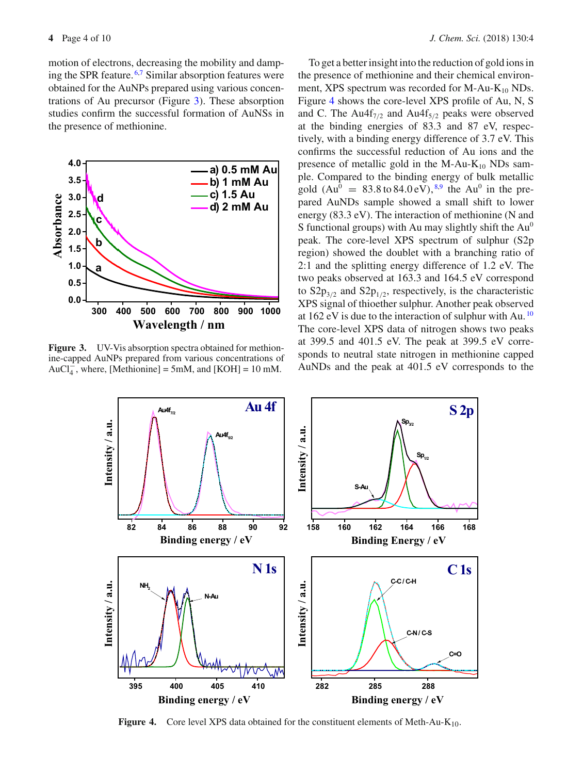motion of electrons, decreasing the mobility and damping the SPR feature. 6,7 Similar absorption features were obtained for the AuNPs prepared using various concentrations of Au precursor (Figure 3). These absorption studies confirm the successful formation of AuNSs in the presence of methionine.



Figure 3. UV-Vis absorption spectra obtained for methionine-capped AuNPs prepared from various concentrations of AuCl<sub>4</sub><sup>-</sup>, where, [Methionine] = 5mM, and [KOH] = 10 mM.

To get a better insight into the reduction of gold ions in the presence of methionine and their chemical environment, XPS spectrum was recorded for M-Au- $K_{10}$  NDs. Figure 4 shows the core-level XPS profile of Au, N, S and C. The Au4f<sub>7/2</sub> and Au4f<sub>5/2</sub> peaks were observed at the binding energies of 83.3 and 87 eV, respectively, with a binding energy difference of 3.7 eV. This confirms the successful reduction of Au ions and the presence of metallic gold in the M-Au- $K_{10}$  NDs sample. Compared to the binding energy of bulk metallic gold  $(Au^0 = 83.8 \text{ to } 84.0 \text{ eV})$ ,<sup>8,9</sup> the Au<sup>0</sup> in the prepared AuNDs sample showed a small shift to lower energy (83.3 eV). The interaction of methionine (N and S functional groups) with Au may slightly shift the  $Au^0$ peak. The core-level XPS spectrum of sulphur (S2p region) showed the doublet with a branching ratio of 2:1 and the splitting energy difference of 1.2 eV. The two peaks observed at 163.3 and 164.5 eV correspond to  $S2p_{3/2}$  and  $S2p_{1/2}$ , respectively, is the characteristic XPS signal of thioether sulphur. Another peak observed at 162 eV is due to the interaction of sulphur with Au.  $^{10}$ The core-level XPS data of nitrogen shows two peaks at 399.5 and 401.5 eV. The peak at 399.5 eV corresponds to neutral state nitrogen in methionine capped AuNDs and the peak at 401.5 eV corresponds to the



**Figure 4.** Core level XPS data obtained for the constituent elements of Meth-Au-K<sub>10</sub>.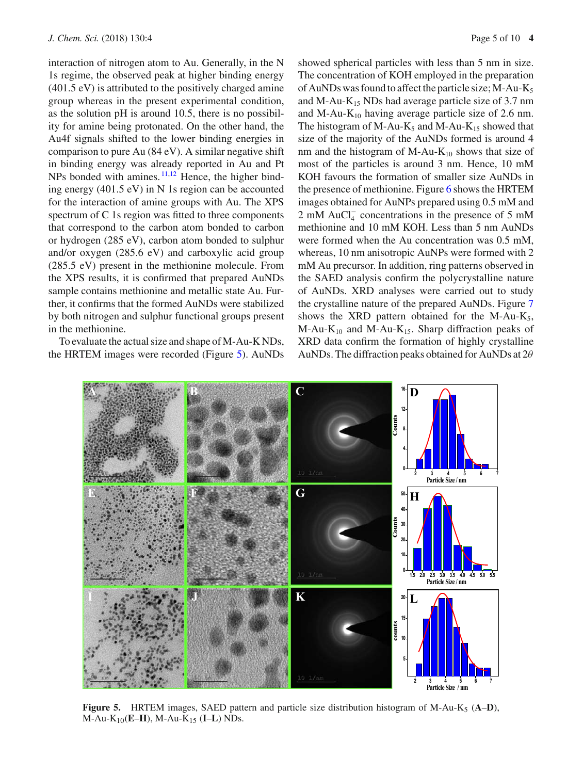interaction of nitrogen atom to Au. Generally, in the N 1s regime, the observed peak at higher binding energy (401.5 eV) is attributed to the positively charged amine group whereas in the present experimental condition, as the solution pH is around 10.5, there is no possibility for amine being protonated. On the other hand, the Au4f signals shifted to the lower binding energies in comparison to pure Au (84 eV). A similar negative shift in binding energy was already reported in Au and Pt NPs bonded with amines.<sup>11,12</sup> Hence, the higher binding energy (401.5 eV) in N 1s region can be accounted for the interaction of amine groups with Au. The XPS spectrum of C 1s region was fitted to three components that correspond to the carbon atom bonded to carbon or hydrogen (285 eV), carbon atom bonded to sulphur and/or oxygen (285.6 eV) and carboxylic acid group (285.5 eV) present in the methionine molecule. From the XPS results, it is confirmed that prepared AuNDs sample contains methionine and metallic state Au. Further, it confirms that the formed AuNDs were stabilized by both nitrogen and sulphur functional groups present in the methionine.

To evaluate the actual size and shape of M-Au-K NDs, the HRTEM images were recorded (Figure 5). AuNDs showed spherical particles with less than 5 nm in size. The concentration of KOH employed in the preparation of AuNDs was found to affect the particle size;  $M-Au-K<sub>5</sub>$ and M-Au- $K_{15}$  NDs had average particle size of 3.7 nm and M-Au- $K_{10}$  having average particle size of 2.6 nm. The histogram of M-Au-K<sub>5</sub> and M-Au-K<sub>15</sub> showed that size of the majority of the AuNDs formed is around 4 nm and the histogram of M-Au- $K_{10}$  shows that size of most of the particles is around 3 nm. Hence, 10 mM KOH favours the formation of smaller size AuNDs in the presence of methionine. Figure 6 shows the HRTEM images obtained for AuNPs prepared using 0.5 mM and 2 mM AuCl<sub>4</sub><sup>-</sup> concentrations in the presence of 5 mM methionine and 10 mM KOH. Less than 5 nm AuNDs were formed when the Au concentration was 0.5 mM, whereas, 10 nm anisotropic AuNPs were formed with 2 mM Au precursor. In addition, ring patterns observed in the SAED analysis confirm the polycrystalline nature of AuNDs. XRD analyses were carried out to study the crystalline nature of the prepared AuNDs. Figure 7 shows the XRD pattern obtained for the M-Au- $K_5$ ,  $M-Au-K_{10}$  and  $M-Au-K_{15}$ . Sharp diffraction peaks of XRD data confirm the formation of highly crystalline AuNDs. The diffraction peaks obtained for AuNDs at  $2\theta$ 



**Figure 5.** HRTEM images, SAED pattern and particle size distribution histogram of M-Au-K5 (**A**–**D**), M-Au-K10(**E**–**H**), M-Au-K15 (**I**–**L**) NDs.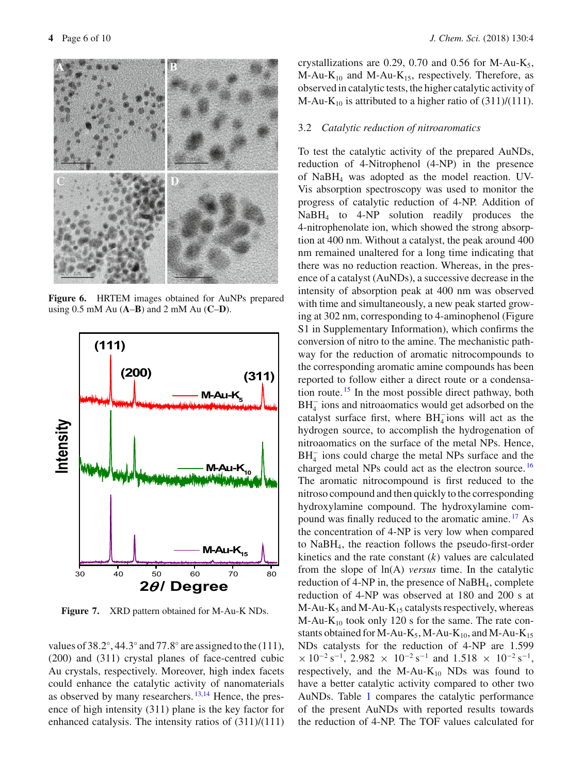

**Figure 6.** HRTEM images obtained for AuNPs prepared using 0.5 mM Au (**A**–**B**) and 2 mM Au (**C**–**D**).



**Figure 7.** XRD pattern obtained for M-Au-K NDs.

values of 38.2 $\degree$ , 44.3 $\degree$  and 77.8 $\degree$  are assigned to the (111), (200) and (311) crystal planes of face-centred cubic Au crystals, respectively. Moreover, high index facets could enhance the catalytic activity of nanomaterials as observed by many researchers. <sup>13,14</sup> Hence, the presence of high intensity (311) plane is the key factor for enhanced catalysis. The intensity ratios of (311)/(111) crystallizations are 0.29, 0.70 and 0.56 for M-Au-K<sub>5</sub>,  $M-Au-K_{10}$  and  $M-Au-K_{15}$ , respectively. Therefore, as observed in catalytic tests, the higher catalytic activity of M-Au-K<sub>10</sub> is attributed to a higher ratio of  $(311)/(111)$ .

#### 3.2 *Catalytic reduction of nitroaromatics*

To test the catalytic activity of the prepared AuNDs, reduction of 4-Nitrophenol (4-NP) in the presence of NaBH4 was adopted as the model reaction. UV-Vis absorption spectroscopy was used to monitor the progress of catalytic reduction of 4-NP. Addition of NaBH4 to 4-NP solution readily produces the 4-nitrophenolate ion, which showed the strong absorption at 400 nm. Without a catalyst, the peak around 400 nm remained unaltered for a long time indicating that there was no reduction reaction. Whereas, in the presence of a catalyst (AuNDs), a successive decrease in the intensity of absorption peak at 400 nm was observed with time and simultaneously, a new peak started growing at 302 nm, corresponding to 4-aminophenol (Figure S1 in Supplementary Information), which confirms the conversion of nitro to the amine. The mechanistic pathway for the reduction of aromatic nitrocompounds to the corresponding aromatic amine compounds has been reported to follow either a direct route or a condensation route. <sup>15</sup> In the most possible direct pathway, both  $BH<sub>4</sub><sup>-</sup>$  ions and nitroaomatics would get adsorbed on the catalyst surface first, where  $BH_4^-$  ions will act as the hydrogen source, to accomplish the hydrogenation of nitroaomatics on the surface of the metal NPs. Hence,  $BH<sub>4</sub><sup>-</sup>$  ions could charge the metal NPs surface and the charged metal NPs could act as the electron source. <sup>16</sup> The aromatic nitrocompound is first reduced to the nitroso compound and then quickly to the corresponding hydroxylamine compound. The hydroxylamine compound was finally reduced to the aromatic amine. <sup>17</sup> As the concentration of 4-NP is very low when compared to NaBH4, the reaction follows the pseudo-first-order kinetics and the rate constant (*k*) values are calculated from the slope of ln(A) *versus* time. In the catalytic reduction of  $4-NP$  in, the presence of NaBH<sub>4</sub>, complete reduction of 4-NP was observed at 180 and 200 s at  $M-Au-K<sub>5</sub>$  and  $M-Au-K<sub>15</sub>$  catalysts respectively, whereas  $M-Au-K_{10}$  took only 120 s for the same. The rate constants obtained for M-Au-K<sub>5</sub>, M-Au-K<sub>10</sub>, and M-Au-K<sub>15</sub> NDs catalysts for the reduction of 4-NP are 1.599  $\times$  10<sup>-2</sup> s<sup>-1</sup>, 2.982  $\times$  10<sup>-2</sup> s<sup>-1</sup> and 1.518  $\times$  10<sup>-2</sup> s<sup>-1</sup>, respectively, and the M-Au- $K_{10}$  NDs was found to have a better catalytic activity compared to other two AuNDs. Table 1 compares the catalytic performance of the present AuNDs with reported results towards the reduction of 4-NP. The TOF values calculated for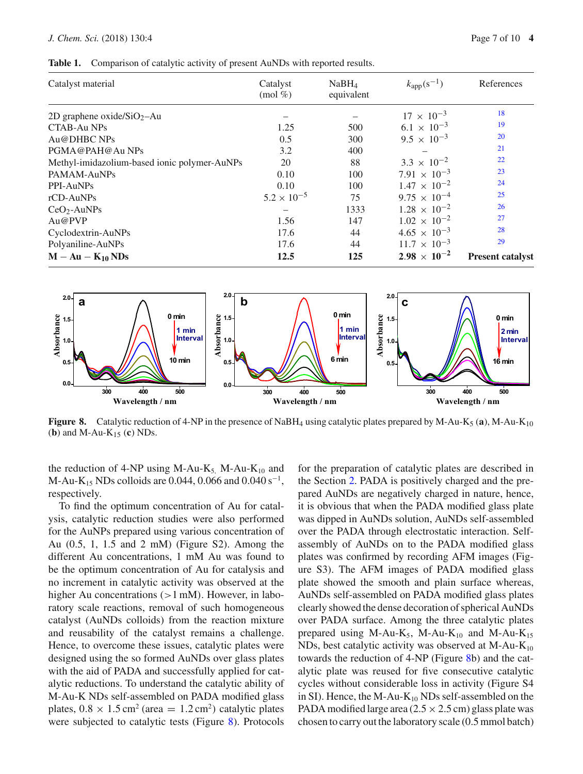#### *J. Chem. Sci.* (2018) 130:4 Page 7 of 10 **4**

**Table 1.** Comparison of catalytic activity of present AuNDs with reported results.

| Catalyst material                            | Catalyst<br>$\pmod{\%}$ | NaBH <sub>4</sub><br>equivalent | $k_{\rm app}(s^{-1})$ | References              |
|----------------------------------------------|-------------------------|---------------------------------|-----------------------|-------------------------|
| 2D graphene oxide/ $SiO_2$ -Au               |                         |                                 | $17 \times 10^{-3}$   | 18                      |
| CTAB-Au NPs                                  | 1.25                    | 500                             | $6.1 \times 10^{-3}$  | 19                      |
| Au@DHBC NPs                                  | 0.5                     | 300                             | $9.5 \times 10^{-3}$  | 20                      |
| PGMA@PAH@Au NPs                              | 3.2                     | 400                             |                       | 21                      |
| Methyl-imidazolium-based ionic polymer-AuNPs | 20                      | 88                              | $3.3 \times 10^{-2}$  | 22                      |
| PAMAM-AuNPs                                  | 0.10                    | 100                             | $7.91 \times 10^{-3}$ | 23                      |
| PPI-AuNPs                                    | 0.10                    | 100                             | $1.47 \times 10^{-2}$ | 24                      |
| rCD-AuNPs                                    | $5.2 \times 10^{-5}$    | 75                              | $9.75 \times 10^{-4}$ | 25                      |
| $CeO2$ -AuNPs                                |                         | 1333                            | $1.28 \times 10^{-2}$ | 26                      |
| Au@PVP                                       | 1.56                    | 147                             | $1.02 \times 10^{-2}$ | 27                      |
| Cyclodextrin-AuNPs                           | 17.6                    | 44                              | $4.65 \times 10^{-3}$ | 28                      |
| Polyaniline-AuNPs                            | 17.6                    | 44                              | $11.7 \times 10^{-3}$ | 29                      |
| $M - Au - K_{10} NDs$                        | 12.5                    | 125                             | $2.98 \times 10^{-2}$ | <b>Present catalyst</b> |



**Figure 8.** Catalytic reduction of 4-NP in the presence of NaBH<sub>4</sub> using catalytic plates prepared by M-Au-K<sub>5</sub> (a), M-Au-K<sub>10</sub> (**b**) and M-Au-K15 (**c**) NDs.

the reduction of 4-NP using M-Au-K<sub>5,</sub> M-Au-K<sub>10</sub> and M-Au-K<sub>15</sub> NDs colloids are 0.044, 0.066 and 0.040 s<sup>-1</sup>, respectively.

To find the optimum concentration of Au for catalysis, catalytic reduction studies were also performed for the AuNPs prepared using various concentration of Au (0.5, 1, 1.5 and 2 mM) (Figure S2). Among the different Au concentrations, 1 mM Au was found to be the optimum concentration of Au for catalysis and no increment in catalytic activity was observed at the higher Au concentrations  $(>1$  mM). However, in laboratory scale reactions, removal of such homogeneous catalyst (AuNDs colloids) from the reaction mixture and reusability of the catalyst remains a challenge. Hence, to overcome these issues, catalytic plates were designed using the so formed AuNDs over glass plates with the aid of PADA and successfully applied for catalytic reductions. To understand the catalytic ability of M-Au-K NDs self-assembled on PADA modified glass plates,  $0.8 \times 1.5$  cm<sup>2</sup> (area = 1.2 cm<sup>2</sup>) catalytic plates were subjected to catalytic tests (Figure 8). Protocols for the preparation of catalytic plates are described in the Section 2. PADA is positively charged and the prepared AuNDs are negatively charged in nature, hence, it is obvious that when the PADA modified glass plate was dipped in AuNDs solution, AuNDs self-assembled over the PADA through electrostatic interaction. Selfassembly of AuNDs on to the PADA modified glass plates was confirmed by recording AFM images (Figure S3). The AFM images of PADA modified glass plate showed the smooth and plain surface whereas, AuNDs self-assembled on PADA modified glass plates clearly showed the dense decoration of spherical AuNDs over PADA surface. Among the three catalytic plates prepared using M-Au-K<sub>5</sub>, M-Au-K<sub>10</sub> and M-Au-K<sub>15</sub> NDs, best catalytic activity was observed at  $M-Au-K_{10}$ towards the reduction of 4-NP (Figure 8b) and the catalytic plate was reused for five consecutive catalytic cycles without considerable loss in activity (Figure S4 in SI). Hence, the M-Au- $K_{10}$  NDs self-assembled on the PADA modified large area  $(2.5 \times 2.5 \text{ cm})$  glass plate was chosen to carry out the laboratory scale (0.5 mmol batch)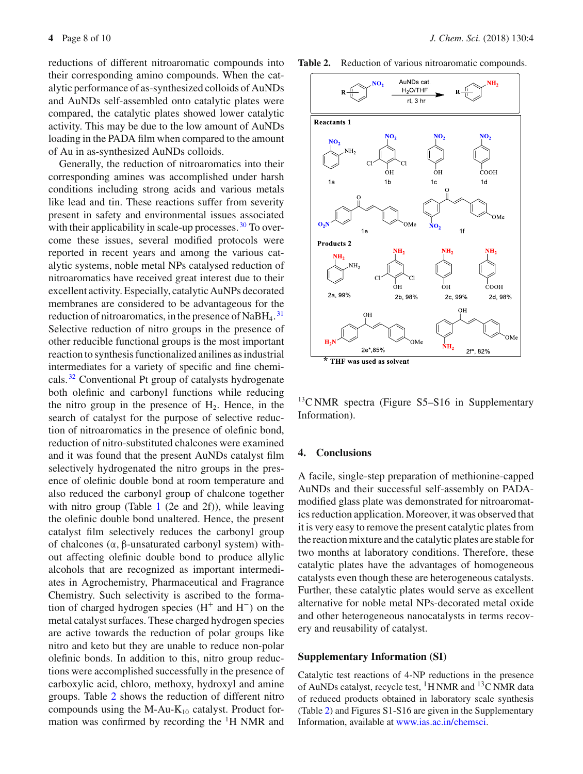reductions of different nitroaromatic compounds into their corresponding amino compounds. When the catalytic performance of as-synthesized colloids of AuNDs and AuNDs self-assembled onto catalytic plates were compared, the catalytic plates showed lower catalytic activity. This may be due to the low amount of AuNDs loading in the PADA film when compared to the amount of Au in as-synthesized AuNDs colloids.

Generally, the reduction of nitroaromatics into their corresponding amines was accomplished under harsh conditions including strong acids and various metals like lead and tin. These reactions suffer from severity present in safety and environmental issues associated with their applicability in scale-up processes.  $30$  To overcome these issues, several modified protocols were reported in recent years and among the various catalytic systems, noble metal NPs catalysed reduction of nitroaromatics have received great interest due to their excellent activity. Especially, catalytic AuNPs decorated membranes are considered to be advantageous for the reduction of nitroaromatics, in the presence of NaBH<sub>4</sub>.<sup>31</sup> Selective reduction of nitro groups in the presence of other reducible functional groups is the most important reaction to synthesis functionalized anilines as industrial intermediates for a variety of specific and fine chemicals. <sup>32</sup> Conventional Pt group of catalysts hydrogenate both olefinic and carbonyl functions while reducing the nitro group in the presence of  $H_2$ . Hence, in the search of catalyst for the purpose of selective reduction of nitroaromatics in the presence of olefinic bond, reduction of nitro-substituted chalcones were examined and it was found that the present AuNDs catalyst film selectively hydrogenated the nitro groups in the presence of olefinic double bond at room temperature and also reduced the carbonyl group of chalcone together with nitro group (Table 1 (2e and 2f)), while leaving the olefinic double bond unaltered. Hence, the present catalyst film selectively reduces the carbonyl group of chalcones (α, β-unsaturated carbonyl system) without affecting olefinic double bond to produce allylic alcohols that are recognized as important intermediates in Agrochemistry, Pharmaceutical and Fragrance Chemistry. Such selectivity is ascribed to the formation of charged hydrogen species  $(H^+ \text{ and } H^-)$  on the metal catalyst surfaces. These charged hydrogen species are active towards the reduction of polar groups like nitro and keto but they are unable to reduce non-polar olefinic bonds. In addition to this, nitro group reductions were accomplished successfully in the presence of carboxylic acid, chloro, methoxy, hydroxyl and amine groups. Table 2 shows the reduction of different nitro compounds using the M-Au- $K_{10}$  catalyst. Product formation was confirmed by recording the 1H NMR and Table 2. Reduction of various nitroaromatic compounds.



 $^{13}$ C NMR spectra (Figure S5–S16 in Supplementary Information).

### **4. Conclusions**

A facile, single-step preparation of methionine-capped AuNDs and their successful self-assembly on PADAmodified glass plate was demonstrated for nitroaromatics reduction application. Moreover, it was observed that it is very easy to remove the present catalytic plates from the reaction mixture and the catalytic plates are stable for two months at laboratory conditions. Therefore, these catalytic plates have the advantages of homogeneous catalysts even though these are heterogeneous catalysts. Further, these catalytic plates would serve as excellent alternative for noble metal NPs-decorated metal oxide and other heterogeneous nanocatalysts in terms recovery and reusability of catalyst.

#### **Supplementary Information (SI)**

Catalytic test reactions of 4-NP reductions in the presence of AuNDs catalyst, recycle test, <sup>1</sup>H NMR and <sup>13</sup>C NMR data of reduced products obtained in laboratory scale synthesis (Table 2) and Figures S1-S16 are given in the Supplementary Information, available at www.ias.ac.in/chemsci.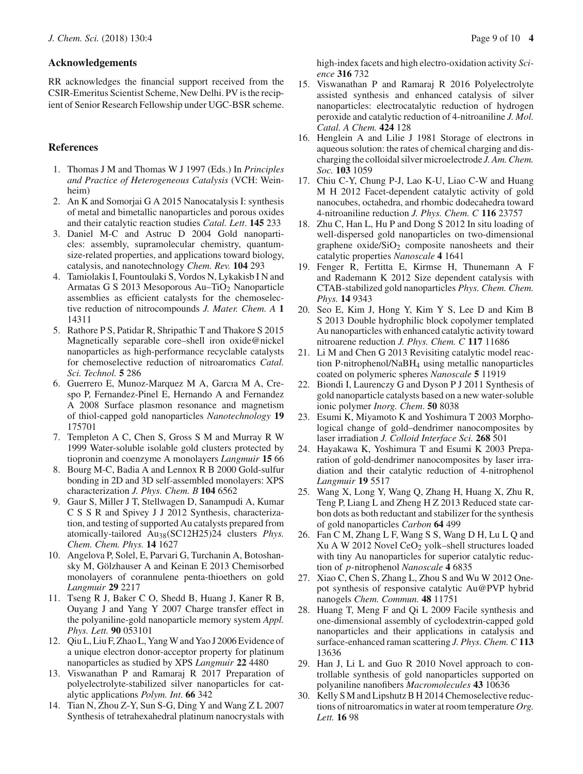### **Acknowledgements**

RR acknowledges the financial support received from the CSIR-Emeritus Scientist Scheme, New Delhi. PV is the recipient of Senior Research Fellowship under UGC-BSR scheme.

# **References**

- 1. Thomas J M and Thomas W J 1997 (Eds.) In *Principles and Practice of Heterogeneous Catalysis* (VCH: Weinheim)
- 2. An K and Somorjai G A 2015 Nanocatalysis I: synthesis of metal and bimetallic nanoparticles and porous oxides and their catalytic reaction studies *Catal. Lett*. **145** 233
- 3. Daniel M-C and Astruc D 2004 Gold nanoparticles: assembly, supramolecular chemistry, quantumsize-related properties, and applications toward biology, catalysis, and nanotechnology *Chem. Rev.* **104** 293
- 4. Tamiolakis I, Fountoulaki S, Vordos N, Lykakisb I N and Armatas G S 2013 Mesoporous Au–TiO2 Nanoparticle assemblies as efficient catalysts for the chemoselective reduction of nitrocompounds *J. Mater. Chem. A* **1** 14311
- 5. Rathore P S, Patidar R, Shripathic T and Thakore S 2015 Magnetically separable core–shell iron oxide@nickel nanoparticles as high-performance recyclable catalysts for chemoselective reduction of nitroaromatics *Catal. Sci. Technol.* **5** 286
- 6. Guerrero E, Munoz-Marquez M A, Garcıa M A, Crespo P, Fernandez-Pinel E, Hernando A and Fernandez A 2008 Surface plasmon resonance and magnetism of thiol-capped gold nanoparticles *Nanotechnology* **19** 175701
- 7. Templeton A C, Chen S, Gross S M and Murray R W 1999 Water-soluble isolable gold clusters protected by tiopronin and coenzyme A monolayers *Langmuir* **15** 66
- 8. Bourg M-C, Badia A and Lennox R B 2000 Gold-sulfur bonding in 2D and 3D self-assembled monolayers: XPS characterization *J. Phys. Chem. B* **104** 6562
- 9. Gaur S, Miller J T, Stellwagen D, Sanampudi A, Kumar C S S R and Spivey J J 2012 Synthesis, characterization, and testing of supported Au catalysts prepared from atomically-tailored Au38(SC12H25)24 clusters *Phys. Chem. Chem. Phys.* **14** 1627
- 10. Angelova P, Solel, E, Parvari G, Turchanin A, Botoshansky M, Gölzhauser A and Keinan E 2013 Chemisorbed monolayers of corannulene penta-thioethers on gold *Langmuir* **29** 2217
- 11. Tseng R J, Baker C O, Shedd B, Huang J, Kaner R B, Ouyang J and Yang Y 2007 Charge transfer effect in the polyaniline-gold nanoparticle memory system *Appl. Phys. Lett.* **90** 053101
- 12. Qiu L, Liu F, Zhao L, Yang W and Yao J 2006 Evidence of a unique electron donor-acceptor property for platinum nanoparticles as studied by XPS *Langmuir* **22** 4480
- 13. Viswanathan P and Ramaraj R 2017 Preparation of polyelectrolyte-stabilized silver nanoparticles for catalytic applications *Polym. Int.* **66** 342
- 14. Tian N, Zhou Z-Y, Sun S-G, Ding Y and Wang Z L 2007 Synthesis of tetrahexahedral platinum nanocrystals with

high-index facets and high electro-oxidation activity *Science* **316** 732

- 15. Viswanathan P and Ramaraj R 2016 Polyelectrolyte assisted synthesis and enhanced catalysis of silver nanoparticles: electrocatalytic reduction of hydrogen peroxide and catalytic reduction of 4-nitroaniline *J. Mol. Catal. A Chem.* **424** 128
- 16. Henglein A and Lilie J 1981 Storage of electrons in aqueous solution: the rates of chemical charging and discharging the colloidal silver microelectrode *J. Am. Chem. Soc.* **103** 1059
- 17. Chiu C-Y, Chung P-J, Lao K-U, Liao C-W and Huang M H 2012 Facet-dependent catalytic activity of gold nanocubes, octahedra, and rhombic dodecahedra toward 4-nitroaniline reduction *J. Phys. Chem. C* **116** 23757
- 18. Zhu C, Han L, Hu P and Dong S 2012 In situ loading of well-dispersed gold nanoparticles on two-dimensional graphene  $oxide/SiO<sub>2</sub>$  composite nanosheets and their catalytic properties *Nanoscale* **4** 1641
- 19. Fenger R, Fertitta E, Kirmse H, Thunemann A F and Rademann K 2012 Size dependent catalysis with CTAB-stabilized gold nanoparticles *Phys. Chem. Chem. Phys.* **14** 9343
- 20. Seo E, Kim J, Hong Y, Kim Y S, Lee D and Kim B S 2013 Double hydrophilic block copolymer templated Au nanoparticles with enhanced catalytic activity toward nitroarene reduction *J. Phys. Chem. C* **117** 11686
- 21. Li M and Chen G 2013 Revisiting catalytic model reaction P-nitrophenol/NaBH4 using metallic nanoparticles coated on polymeric spheres *Nanoscale* **5** 11919
- 22. Biondi I, Laurenczy G and Dyson P J 2011 Synthesis of gold nanoparticle catalysts based on a new water-soluble ionic polymer *Inorg. Chem*. **50** 8038
- 23. Esumi K, Miyamoto K and Yoshimura T 2003 Morphological change of gold–dendrimer nanocomposites by laser irradiation *J. Colloid Interface Sci.* **268** 501
- 24. Hayakawa K, Yoshimura T and Esumi K 2003 Preparation of gold-dendrimer nanocomposites by laser irradiation and their catalytic reduction of 4-nitrophenol *Langmuir* **19** 5517
- 25. Wang X, Long Y, Wang Q, Zhang H, Huang X, Zhu R, Teng P, Liang L and Zheng H Z 2013 Reduced state carbon dots as both reductant and stabilizer for the synthesis of gold nanoparticles *Carbon* **64** 499
- 26. Fan C M, Zhang L F, Wang S S, Wang D H, Lu L Q and Xu A W 2012 Novel CeO2 yolk–shell structures loaded with tiny Au nanoparticles for superior catalytic reduction of *p*-nitrophenol *Nanoscale* **4** 6835
- 27. Xiao C, Chen S, Zhang L, Zhou S and Wu W 2012 Onepot synthesis of responsive catalytic Au@PVP hybrid nanogels *Chem. Commun.* **48** 11751
- 28. Huang T, Meng F and Qi L 2009 Facile synthesis and one-dimensional assembly of cyclodextrin-capped gold nanoparticles and their applications in catalysis and surface-enhanced raman scattering *J. Phys. Chem. C* **113** 13636
- 29. Han J, Li L and Guo R 2010 Novel approach to controllable synthesis of gold nanoparticles supported on polyaniline nanofibers *Macromolecules* **43** 10636
- 30. Kelly S M and Lipshutz B H 2014 Chemoselective reductions of nitroaromatics in water at room temperature *Org. Lett.* **16** 98